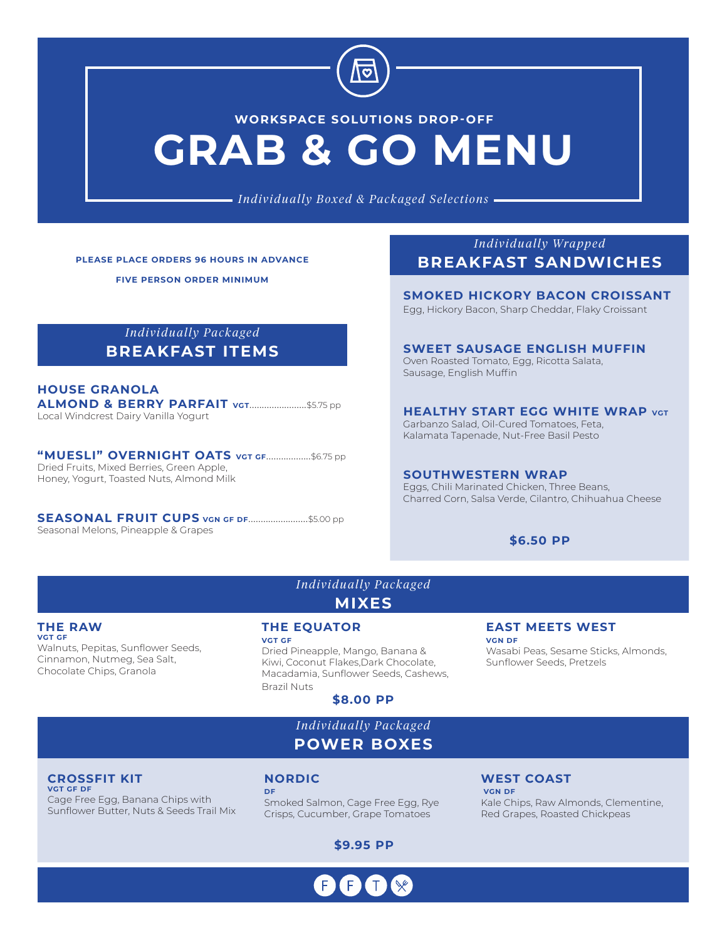

# **GRAB & GO MENU WORKSPACE SOLUTIONS DROP-OFF**

*Individually Boxed & Packaged Selections*

**PLEASE PLACE ORDERS 96 HOURS IN ADVANCE**

**FIVE PERSON ORDER MINIMUM**

# *Individually Packaged* **BREAKFAST ITEMS**

#### **HOUSE GRANOLA ALMOND & BERRY PARFAIT VGT.........................**\$5.75 pp Local Windcrest Dairy Vanilla Yogurt

**"MUESLI" OVERNIGHT OATS VGT GF**..................\$6.75 pp Dried Fruits, Mixed Berries, Green Apple, Honey, Yogurt, Toasted Nuts, Almond Milk

**SEASONAL FRUIT CUPS VGN GF DF**........................\$5.00 pp Seasonal Melons, Pineapple & Grapes

*Individually Wrapped* **BREAKFAST SANDWICHES**

**SMOKED HICKORY BACON CROISSANT**

Egg, Hickory Bacon, Sharp Cheddar, Flaky Croissant

#### **SWEET SAUSAGE ENGLISH MUFFIN**

Oven Roasted Tomato, Egg, Ricotta Salata, Sausage, English Muffin

**HEALTHY START EGG WHITE WRAP VGT** Garbanzo Salad, Oil-Cured Tomatoes, Feta, Kalamata Tapenade, Nut-Free Basil Pesto

**SOUTHWESTERN WRAP**  Eggs, Chili Marinated Chicken, Three Beans, Charred Corn, Salsa Verde, Cilantro, Chihuahua Cheese

### **\$6.50 PP**

**EAST MEETS WEST**

Sunflower Seeds, Pretzels

Wasabi Peas, Sesame Sticks, Almonds,

#### **THE RAW VGT GF**

Walnuts, Pepitas, Sunflower Seeds, Cinnamon, Nutmeg, Sea Salt, Chocolate Chips, Granola

**THE EQUATOR VGT GF**

Dried Pineapple, Mango, Banana & Kiwi, Coconut Flakes,Dark Chocolate, Macadamia, Sunflower Seeds, Cashews, Brazil Nuts

*Individually Packaged* **MIXES**

**\$8.00 PP**

*Individually Packaged* **POWER BOXES**

#### **CROSSFIT KIT VGT GF DF**

Cage Free Egg, Banana Chips with Sunflower Butter, Nuts & Seeds Trail Mix

### **NORDIC**

**DF** Smoked Salmon, Cage Free Egg, Rye Crisps, Cucumber, Grape Tomatoes

**\$9.95 PP**

# **WEST COAST**

**VGN DF**

 **VGN DF** Kale Chips, Raw Almonds, Clementine, Red Grapes, Roasted Chickpeas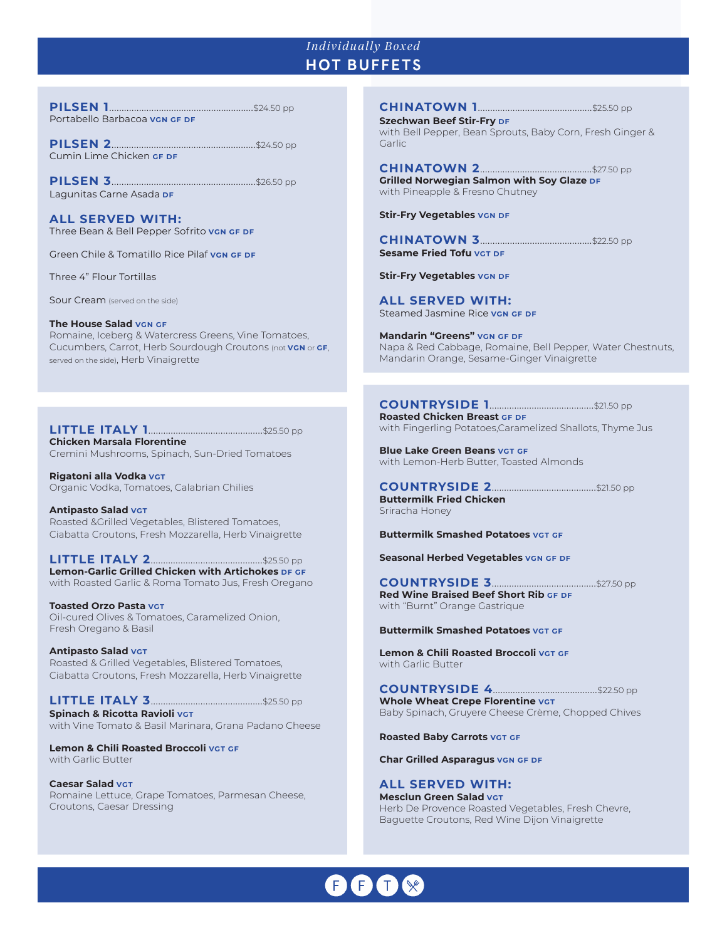## *Individually Boxed* **HOT BUFFETS**

**PILSEN 1**..........................................................\$24.50 pp Portabello Barbacoa vGN GF DF

**PILSEN 2**..........................................................\$24.50 pp Cumin Lime Chicken **GF DF**

**PILSEN 3**..........................................................\$26.50 pp Lagunitas Carne Asada **DF**

**ALL SERVED WITH:** Three Bean & Bell Pepper Sofrito **VGN GF DF**

Green Chile & Tomatillo Rice Pilaf **VGN GF DF**

Three 4" Flour Tortillas

Sour Cream (served on the side)

#### **The House Salad VGN GF**  Romaine, Iceberg & Watercress Greens, Vine Tomatoes, Cucumbers, Carrot, Herb Sourdough Croutons (not **VGN** or **GF**, served on the side), Herb Vinaigrette

**LITTLE ITALY 1**..............................................\$25.50 pp **Chicken Marsala Florentine** Cremini Mushrooms, Spinach, Sun-Dried Tomatoes

**Rigatoni alla Vodka VGT** Organic Vodka, Tomatoes, Calabrian Chilies

**Antipasto Salad VGT** Roasted &Grilled Vegetables, Blistered Tomatoes, Ciabatta Croutons, Fresh Mozzarella, Herb Vinaigrette

**LITTLE ITALY 2**.............................................\$25.50 pp **Lemon-Garlic Grilled Chicken with Artichokes DF GF** with Roasted Garlic & Roma Tomato Jus, Fresh Oregano

**Toasted Orzo Pasta VGT** Oil-cured Olives & Tomatoes, Caramelized Onion, Fresh Oregano & Basil

**Antipasto Salad VGT** Roasted & Grilled Vegetables, Blistered Tomatoes, Ciabatta Croutons, Fresh Mozzarella, Herb Vinaigrette

**LITTLE ITALY 3**.............................................\$25.50 pp **Spinach & Ricotta Ravioli VGT** with Vine Tomato & Basil Marinara, Grana Padano Cheese

**Lemon & Chili Roasted Broccoli VGT GF** with Garlic Butter

**Caesar Salad VGT** Romaine Lettuce, Grape Tomatoes, Parmesan Cheese, Croutons, Caesar Dressing

**CHINATOWN 1**..............................................\$25.50 pp

**Szechwan Beef Stir-Fry DF** with Bell Pepper, Bean Sprouts, Baby Corn, Fresh Ginger & Garlic

**CHINATOWN 2**.............................................\$27.50 pp **Grilled Norwegian Salmon with Soy Glaze DF** with Pineapple & Fresno Chutney

**Stir-Fry Vegetables VGN DF** 

**CHINATOWN 3**.............................................\$22.50 pp **Sesame Fried Tofu VGT DF**

**Stir-Fry Vegetables VGN DF** 

**ALL SERVED WITH:** Steamed Jasmine Rice **VGN GF DF**

**Mandarin "Greens" VGN GF DF** Napa & Red Cabbage, Romaine, Bell Pepper, Water Chestnuts, Mandarin Orange, Sesame-Ginger Vinaigrette

### **COUNTRYSIDE 1**..........................................\$21.50 pp

**Roasted Chicken Breast GF DF** with Fingerling Potatoes,Caramelized Shallots, Thyme Jus

**Blue Lake Green Beans VGT GF** with Lemon-Herb Butter, Toasted Almonds

**COUNTRYSIDE 2**..........................................\$21.50 pp **Buttermilk Fried Chicken** Sriracha Honey

**Buttermilk Smashed Potatoes VGT GF**

**Seasonal Herbed Vegetables VGN GF DF** 

**COUNTRYSIDE 3**..........................................\$27.50 pp **Red Wine Braised Beef Short Rib GF DF** with "Burnt" Orange Gastrique

**Buttermilk Smashed Potatoes VGT GF** 

**Lemon & Chili Roasted Broccoli VGT GF** with Garlic Butter

**COUNTRYSIDE 4**..........................................\$22.50 pp **Whole Wheat Crepe Florentine VGT** Baby Spinach, Gruyere Cheese Crème, Chopped Chives

**Roasted Baby Carrots VGT GF**

**Char Grilled Asparagus VGN GF DF**

**ALL SERVED WITH: Mesclun Green Salad VGT** Herb De Provence Roasted Vegetables, Fresh Chevre, Baguette Croutons, Red Wine Dijon Vinaigrette